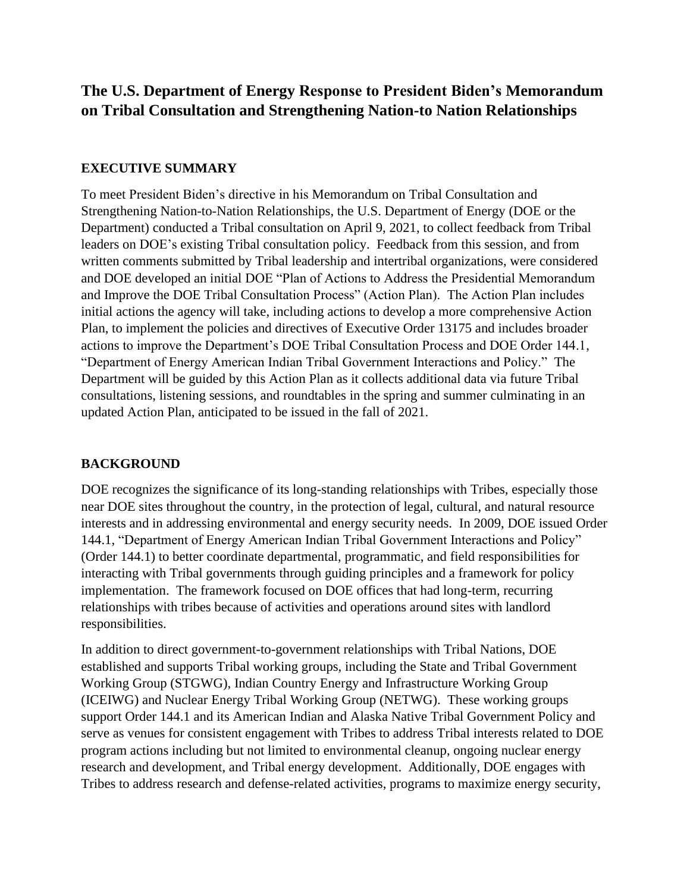# **The U.S. Department of Energy Response to President Biden's Memorandum on Tribal Consultation and Strengthening Nation-to Nation Relationships**

#### **EXECUTIVE SUMMARY**

To meet President Biden's directive in his Memorandum on Tribal Consultation and Strengthening Nation-to-Nation Relationships, the U.S. Department of Energy (DOE or the Department) conducted a Tribal consultation on April 9, 2021, to collect feedback from Tribal leaders on DOE's existing Tribal consultation policy. Feedback from this session, and from written comments submitted by Tribal leadership and intertribal organizations, were considered and DOE developed an initial DOE "Plan of Actions to Address the Presidential Memorandum and Improve the DOE Tribal Consultation Process" (Action Plan). The Action Plan includes initial actions the agency will take, including actions to develop a more comprehensive Action Plan, to implement the policies and directives of Executive Order 13175 and includes broader actions to improve the Department's DOE Tribal Consultation Process and DOE Order 144.1, "Department of Energy American Indian Tribal Government Interactions and Policy." The Department will be guided by this Action Plan as it collects additional data via future Tribal consultations, listening sessions, and roundtables in the spring and summer culminating in an updated Action Plan, anticipated to be issued in the fall of 2021.

#### **BACKGROUND**

DOE recognizes the significance of its long-standing relationships with Tribes, especially those near DOE sites throughout the country, in the protection of legal, cultural, and natural resource interests and in addressing environmental and energy security needs. In 2009, DOE issued Order 144.1, "Department of Energy American Indian Tribal Government Interactions and Policy" (Order 144.1) to better coordinate departmental, programmatic, and field responsibilities for interacting with Tribal governments through guiding principles and a framework for policy implementation. The framework focused on DOE offices that had long-term, recurring relationships with tribes because of activities and operations around sites with landlord responsibilities.

In addition to direct government-to-government relationships with Tribal Nations, DOE established and supports Tribal working groups, including the State and Tribal Government Working Group (STGWG), Indian Country Energy and Infrastructure Working Group (ICEIWG) and Nuclear Energy Tribal Working Group (NETWG). These working groups support Order 144.1 and its American Indian and Alaska Native Tribal Government Policy and serve as venues for consistent engagement with Tribes to address Tribal interests related to DOE program actions including but not limited to environmental cleanup, ongoing nuclear energy research and development, and Tribal energy development. Additionally, DOE engages with Tribes to address research and defense-related activities, programs to maximize energy security,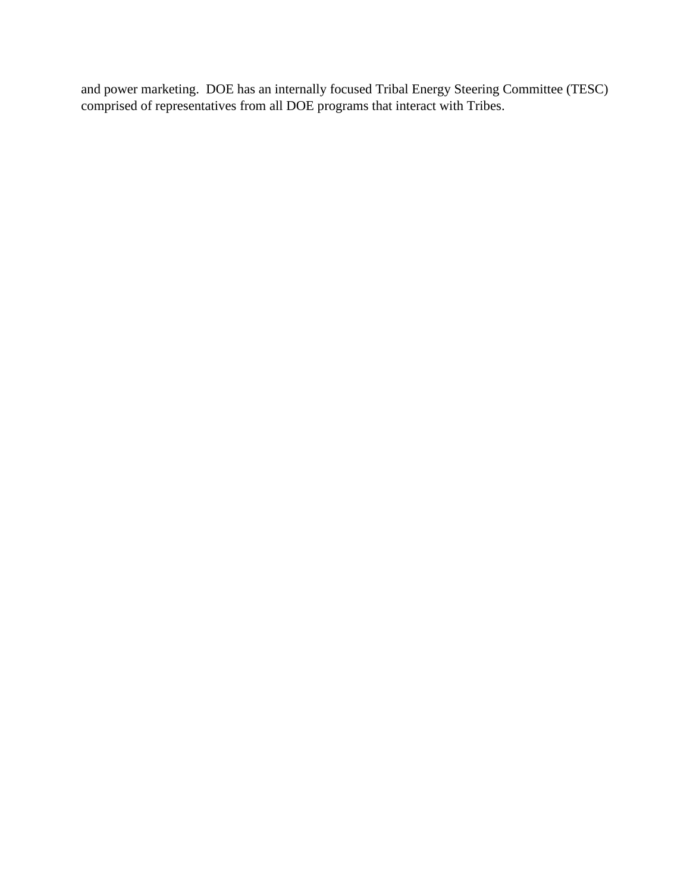and power marketing. DOE has an internally focused Tribal Energy Steering Committee (TESC) comprised of representatives from all DOE programs that interact with Tribes.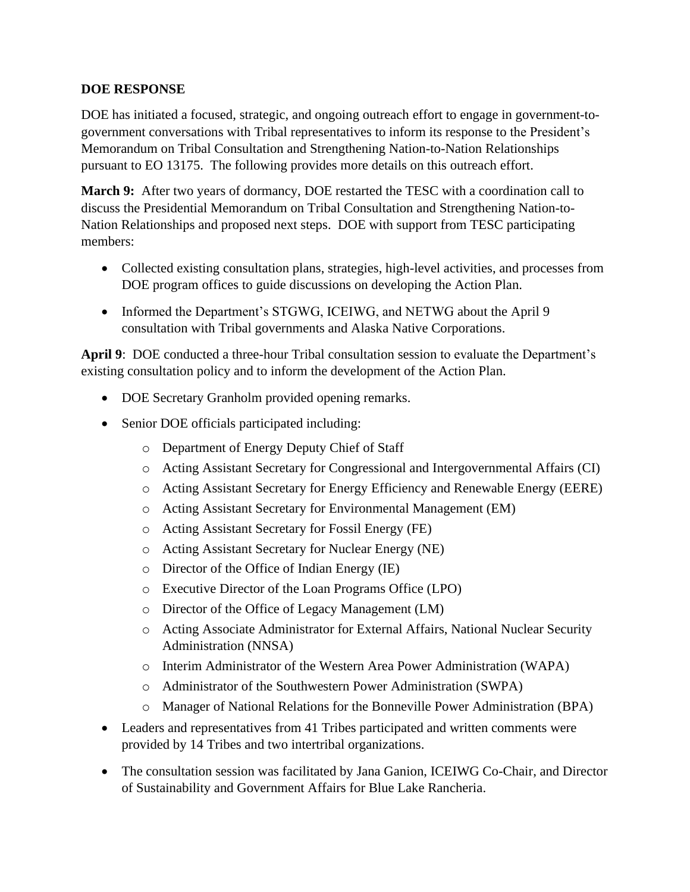#### **DOE RESPONSE**

DOE has initiated a focused, strategic, and ongoing outreach effort to engage in government-togovernment conversations with Tribal representatives to inform its response to the President's Memorandum on Tribal Consultation and Strengthening Nation-to-Nation Relationships pursuant to EO 13175. The following provides more details on this outreach effort.

**March 9:** After two years of dormancy, DOE restarted the TESC with a coordination call to discuss the Presidential Memorandum on Tribal Consultation and Strengthening Nation-to-Nation Relationships and proposed next steps. DOE with support from TESC participating members:

- Collected existing consultation plans, strategies, high-level activities, and processes from DOE program offices to guide discussions on developing the Action Plan.
- Informed the Department's STGWG, ICEIWG, and NETWG about the April 9 consultation with Tribal governments and Alaska Native Corporations.

**April 9**: DOE conducted a three-hour Tribal consultation session to evaluate the Department's existing consultation policy and to inform the development of the Action Plan.

- DOE Secretary Granholm provided opening remarks.
- Senior DOE officials participated including:
	- o Department of Energy Deputy Chief of Staff
	- o Acting Assistant Secretary for Congressional and Intergovernmental Affairs (CI)
	- o Acting Assistant Secretary for Energy Efficiency and Renewable Energy (EERE)
	- o Acting Assistant Secretary for Environmental Management (EM)
	- o Acting Assistant Secretary for Fossil Energy (FE)
	- o Acting Assistant Secretary for Nuclear Energy (NE)
	- o Director of the Office of Indian Energy (IE)
	- o Executive Director of the Loan Programs Office (LPO)
	- o Director of the Office of Legacy Management (LM)
	- o Acting Associate Administrator for External Affairs, National Nuclear Security Administration (NNSA)
	- o Interim Administrator of the Western Area Power Administration (WAPA)
	- o Administrator of the Southwestern Power Administration (SWPA)
	- o Manager of National Relations for the Bonneville Power Administration (BPA)
- Leaders and representatives from 41 Tribes participated and written comments were provided by 14 Tribes and two intertribal organizations.
- The consultation session was facilitated by Jana Ganion, ICEIWG Co-Chair, and Director of Sustainability and Government Affairs for Blue Lake Rancheria.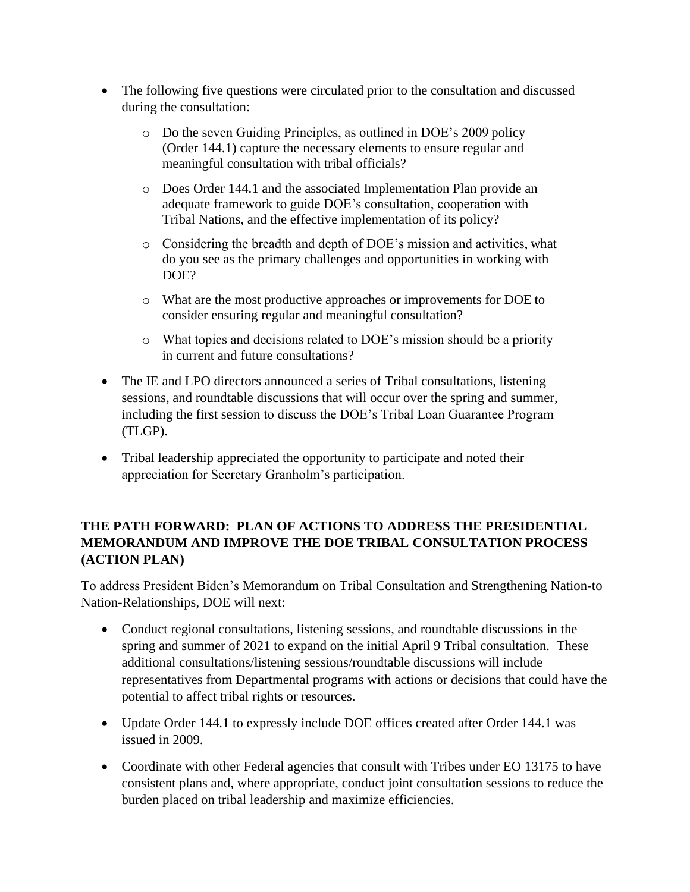- The following five questions were circulated prior to the consultation and discussed during the consultation:
	- o Do the seven Guiding Principles, as outlined in DOE's 2009 policy (Order 144.1) capture the necessary elements to ensure regular and meaningful consultation with tribal officials?
	- o Does Order 144.1 and the associated Implementation Plan provide an adequate framework to guide DOE's consultation, cooperation with Tribal Nations, and the effective implementation of its policy?
	- o Considering the breadth and depth of DOE's mission and activities, what do you see as the primary challenges and opportunities in working with DOE?
	- o What are the most productive approaches or improvements for DOE to consider ensuring regular and meaningful consultation?
	- o What topics and decisions related to DOE's mission should be a priority in current and future consultations?
- The IE and LPO directors announced a series of Tribal consultations, listening sessions, and roundtable discussions that will occur over the spring and summer, including the first session to discuss the DOE's Tribal Loan Guarantee Program (TLGP).
- Tribal leadership appreciated the opportunity to participate and noted their appreciation for Secretary Granholm's participation.

## **THE PATH FORWARD: PLAN OF ACTIONS TO ADDRESS THE PRESIDENTIAL MEMORANDUM AND IMPROVE THE DOE TRIBAL CONSULTATION PROCESS (ACTION PLAN)**

To address President Biden's Memorandum on Tribal Consultation and Strengthening Nation-to Nation-Relationships, DOE will next:

- Conduct regional consultations, listening sessions, and roundtable discussions in the spring and summer of 2021 to expand on the initial April 9 Tribal consultation. These additional consultations/listening sessions/roundtable discussions will include representatives from Departmental programs with actions or decisions that could have the potential to affect tribal rights or resources.
- Update Order 144.1 to expressly include DOE offices created after Order 144.1 was issued in 2009.
- Coordinate with other Federal agencies that consult with Tribes under EO 13175 to have consistent plans and, where appropriate, conduct joint consultation sessions to reduce the burden placed on tribal leadership and maximize efficiencies.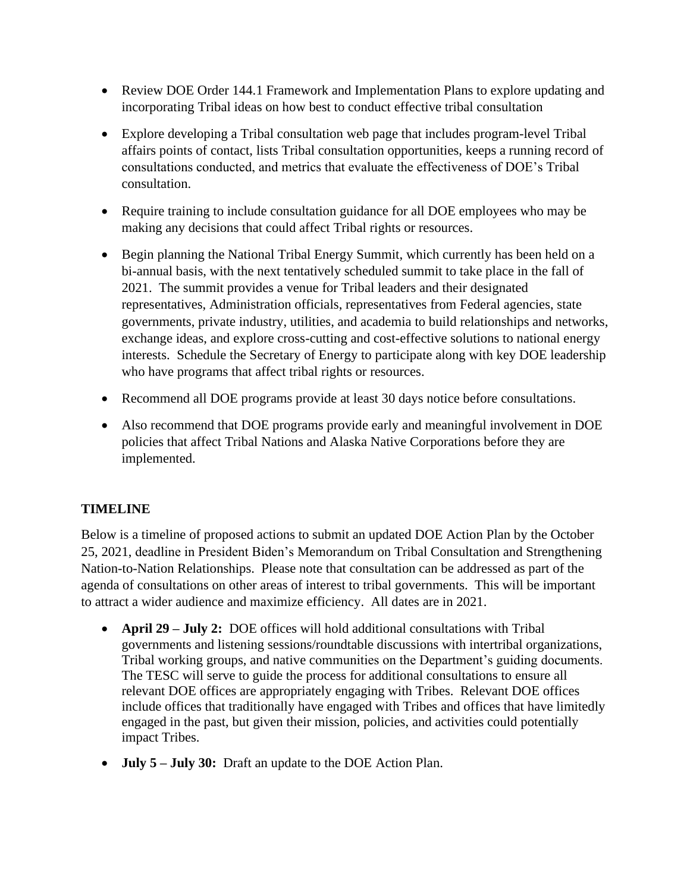- Review DOE Order 144.1 Framework and Implementation Plans to explore updating and incorporating Tribal ideas on how best to conduct effective tribal consultation
- Explore developing a Tribal consultation web page that includes program-level Tribal affairs points of contact, lists Tribal consultation opportunities, keeps a running record of consultations conducted, and metrics that evaluate the effectiveness of DOE's Tribal consultation.
- Require training to include consultation guidance for all DOE employees who may be making any decisions that could affect Tribal rights or resources.
- Begin planning the National Tribal Energy Summit, which currently has been held on a bi-annual basis, with the next tentatively scheduled summit to take place in the fall of 2021. The summit provides a venue for Tribal leaders and their designated representatives, Administration officials, representatives from Federal agencies, state governments, private industry, utilities, and academia to build relationships and networks, exchange ideas, and explore cross-cutting and cost-effective solutions to national energy interests. Schedule the Secretary of Energy to participate along with key DOE leadership who have programs that affect tribal rights or resources.
- Recommend all DOE programs provide at least 30 days notice before consultations.
- Also recommend that DOE programs provide early and meaningful involvement in DOE policies that affect Tribal Nations and Alaska Native Corporations before they are implemented.

## **TIMELINE**

Below is a timeline of proposed actions to submit an updated DOE Action Plan by the October 25, 2021, deadline in President Biden's Memorandum on Tribal Consultation and Strengthening Nation-to-Nation Relationships. Please note that consultation can be addressed as part of the agenda of consultations on other areas of interest to tribal governments. This will be important to attract a wider audience and maximize efficiency. All dates are in 2021.

- **April 29 – July 2:** DOE offices will hold additional consultations with Tribal governments and listening sessions/roundtable discussions with intertribal organizations, Tribal working groups, and native communities on the Department's guiding documents. The TESC will serve to guide the process for additional consultations to ensure all relevant DOE offices are appropriately engaging with Tribes. Relevant DOE offices include offices that traditionally have engaged with Tribes and offices that have limitedly engaged in the past, but given their mission, policies, and activities could potentially impact Tribes.
- **July 5 – July 30:** Draft an update to the DOE Action Plan.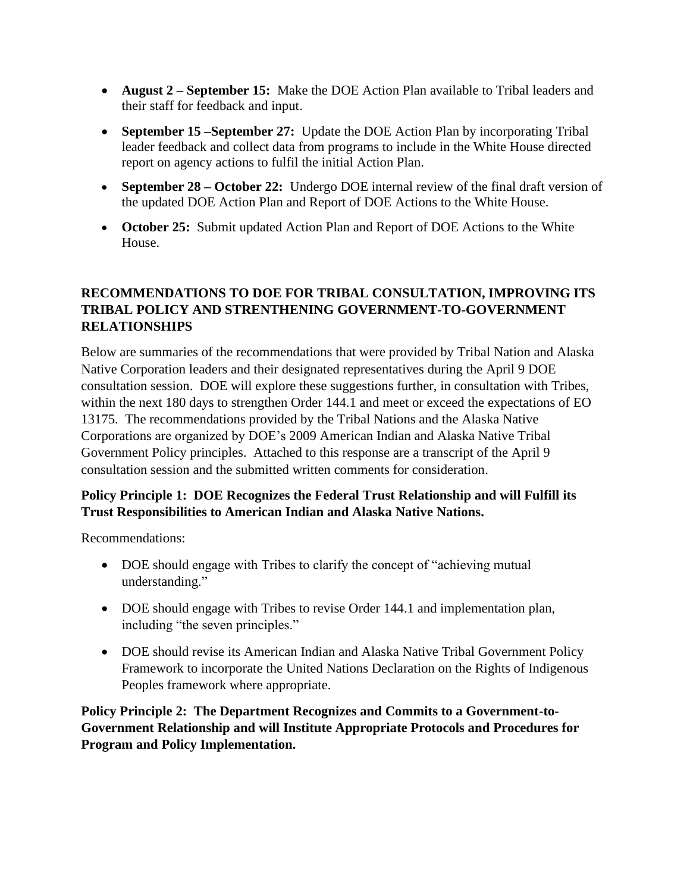- **August 2 – September 15:** Make the DOE Action Plan available to Tribal leaders and their staff for feedback and input.
- **September 15 –September 27:** Update the DOE Action Plan by incorporating Tribal leader feedback and collect data from programs to include in the White House directed report on agency actions to fulfil the initial Action Plan.
- **September 28 October 22:** Undergo DOE internal review of the final draft version of the updated DOE Action Plan and Report of DOE Actions to the White House.
- **October 25:** Submit updated Action Plan and Report of DOE Actions to the White House.

## **RECOMMENDATIONS TO DOE FOR TRIBAL CONSULTATION, IMPROVING ITS TRIBAL POLICY AND STRENTHENING GOVERNMENT-TO-GOVERNMENT RELATIONSHIPS**

Below are summaries of the recommendations that were provided by Tribal Nation and Alaska Native Corporation leaders and their designated representatives during the April 9 DOE consultation session. DOE will explore these suggestions further, in consultation with Tribes, within the next 180 days to strengthen Order 144.1 and meet or exceed the expectations of EO 13175. The recommendations provided by the Tribal Nations and the Alaska Native Corporations are organized by DOE's 2009 American Indian and Alaska Native Tribal Government Policy principles. Attached to this response are a transcript of the April 9 consultation session and the submitted written comments for consideration.

## **Policy Principle 1: DOE Recognizes the Federal Trust Relationship and will Fulfill its Trust Responsibilities to American Indian and Alaska Native Nations.**

Recommendations:

- DOE should engage with Tribes to clarify the concept of "achieving mutual" understanding."
- DOE should engage with Tribes to revise Order 144.1 and implementation plan, including "the seven principles."
- DOE should revise its American Indian and Alaska Native Tribal Government Policy Framework to incorporate the United Nations Declaration on the Rights of Indigenous Peoples framework where appropriate.

**Policy Principle 2: The Department Recognizes and Commits to a Government-to-Government Relationship and will Institute Appropriate Protocols and Procedures for Program and Policy Implementation.**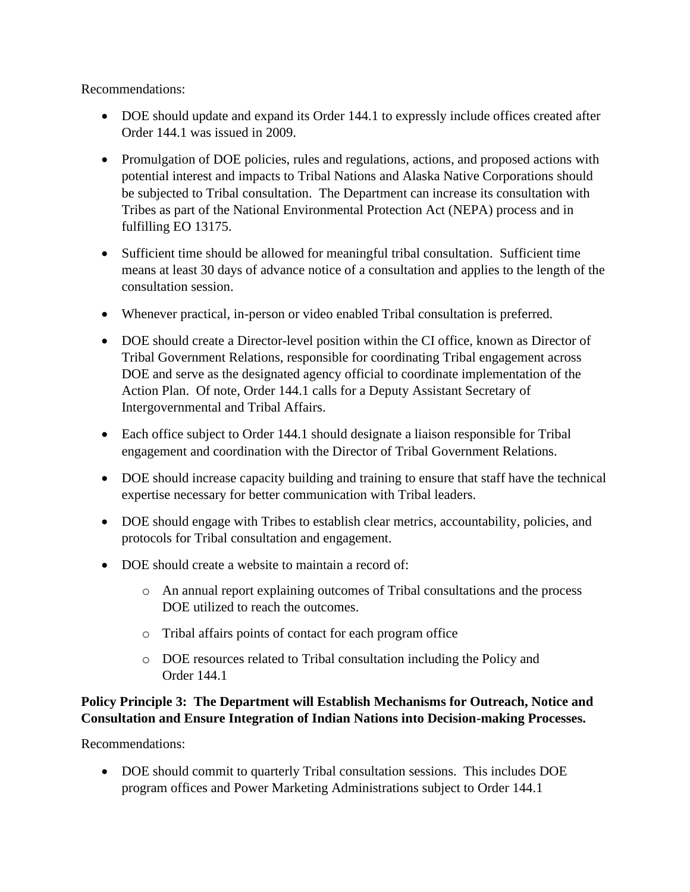Recommendations:

- DOE should update and expand its Order 144.1 to expressly include offices created after Order 144.1 was issued in 2009.
- Promulgation of DOE policies, rules and regulations, actions, and proposed actions with potential interest and impacts to Tribal Nations and Alaska Native Corporations should be subjected to Tribal consultation. The Department can increase its consultation with Tribes as part of the National Environmental Protection Act (NEPA) process and in fulfilling EO 13175.
- Sufficient time should be allowed for meaningful tribal consultation. Sufficient time means at least 30 days of advance notice of a consultation and applies to the length of the consultation session.
- Whenever practical, in-person or video enabled Tribal consultation is preferred.
- DOE should create a Director-level position within the CI office, known as Director of Tribal Government Relations, responsible for coordinating Tribal engagement across DOE and serve as the designated agency official to coordinate implementation of the Action Plan. Of note, Order 144.1 calls for a Deputy Assistant Secretary of Intergovernmental and Tribal Affairs.
- Each office subject to Order 144.1 should designate a liaison responsible for Tribal engagement and coordination with the Director of Tribal Government Relations.
- DOE should increase capacity building and training to ensure that staff have the technical expertise necessary for better communication with Tribal leaders.
- DOE should engage with Tribes to establish clear metrics, accountability, policies, and protocols for Tribal consultation and engagement.
- DOE should create a website to maintain a record of:
	- o An annual report explaining outcomes of Tribal consultations and the process DOE utilized to reach the outcomes.
	- o Tribal affairs points of contact for each program office
	- o DOE resources related to Tribal consultation including the Policy and Order 144.1

#### **Policy Principle 3: The Department will Establish Mechanisms for Outreach, Notice and Consultation and Ensure Integration of Indian Nations into Decision-making Processes.**

Recommendations:

• DOE should commit to quarterly Tribal consultation sessions. This includes DOE program offices and Power Marketing Administrations subject to Order 144.1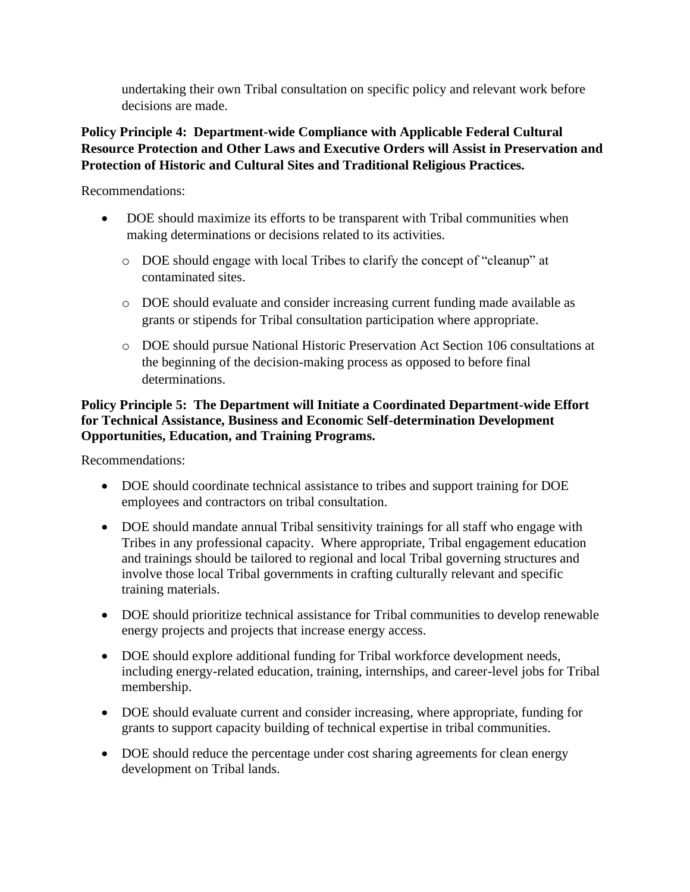undertaking their own Tribal consultation on specific policy and relevant work before decisions are made.

## **Policy Principle 4: Department-wide Compliance with Applicable Federal Cultural Resource Protection and Other Laws and Executive Orders will Assist in Preservation and Protection of Historic and Cultural Sites and Traditional Religious Practices.**

Recommendations:

- DOE should maximize its efforts to be transparent with Tribal communities when making determinations or decisions related to its activities.
	- o DOE should engage with local Tribes to clarify the concept of "cleanup" at contaminated sites.
	- o DOE should evaluate and consider increasing current funding made available as grants or stipends for Tribal consultation participation where appropriate.
	- o DOE should pursue National Historic Preservation Act Section 106 consultations at the beginning of the decision-making process as opposed to before final determinations.

#### **Policy Principle 5: The Department will Initiate a Coordinated Department-wide Effort for Technical Assistance, Business and Economic Self-determination Development Opportunities, Education, and Training Programs.**

Recommendations:

- DOE should coordinate technical assistance to tribes and support training for DOE employees and contractors on tribal consultation.
- DOE should mandate annual Tribal sensitivity trainings for all staff who engage with Tribes in any professional capacity. Where appropriate, Tribal engagement education and trainings should be tailored to regional and local Tribal governing structures and involve those local Tribal governments in crafting culturally relevant and specific training materials.
- DOE should prioritize technical assistance for Tribal communities to develop renewable energy projects and projects that increase energy access.
- DOE should explore additional funding for Tribal workforce development needs, including energy-related education, training, internships, and career-level jobs for Tribal membership.
- DOE should evaluate current and consider increasing, where appropriate, funding for grants to support capacity building of technical expertise in tribal communities.
- DOE should reduce the percentage under cost sharing agreements for clean energy development on Tribal lands.